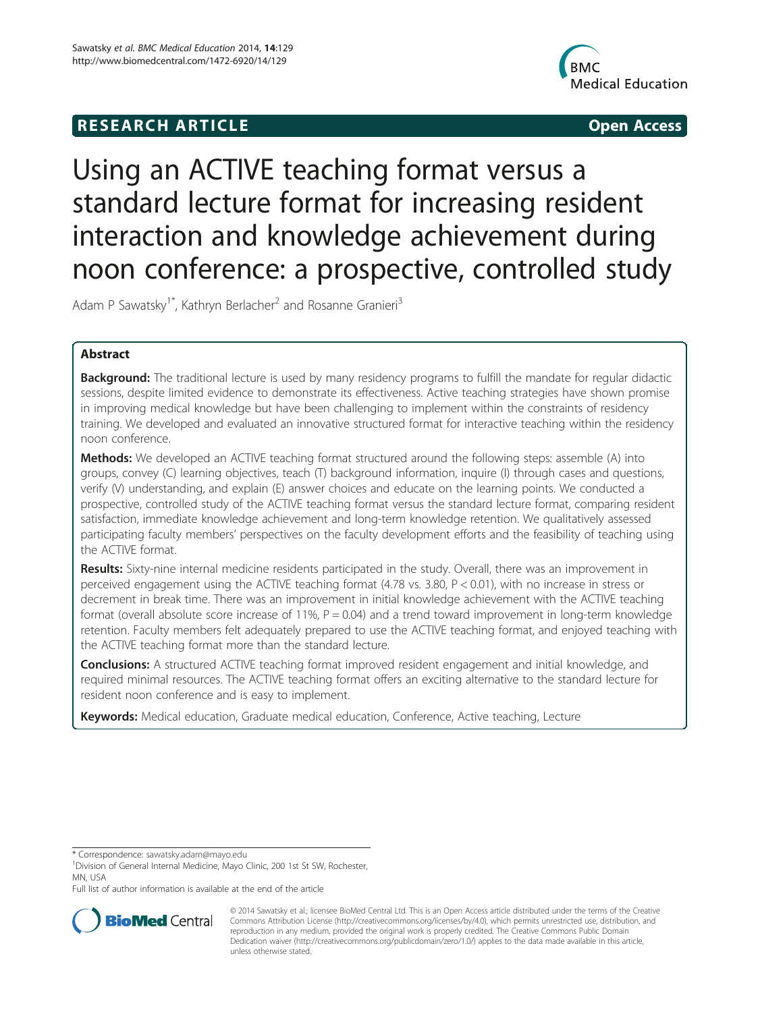# **RESEARCH ARTICLE Example 2014 12:30 The SEAR CHA RTICLE**



# Using an ACTIVE teaching format versus a standard lecture format for increasing resident interaction and knowledge achievement during noon conference: a prospective, controlled study

Adam P Sawatsky<sup>1\*</sup>, Kathryn Berlacher<sup>2</sup> and Rosanne Granieri<sup>3</sup>

# Abstract

Background: The traditional lecture is used by many residency programs to fulfill the mandate for regular didactic sessions, despite limited evidence to demonstrate its effectiveness. Active teaching strategies have shown promise in improving medical knowledge but have been challenging to implement within the constraints of residency training. We developed and evaluated an innovative structured format for interactive teaching within the residency noon conference.

**Methods:** We developed an ACTIVE teaching format structured around the following steps: assemble (A) into groups, convey (C) learning objectives, teach (T) background information, inquire (I) through cases and questions, verify (V) understanding, and explain (E) answer choices and educate on the learning points. We conducted a prospective, controlled study of the ACTIVE teaching format versus the standard lecture format, comparing resident satisfaction, immediate knowledge achievement and long-term knowledge retention. We qualitatively assessed participating faculty members' perspectives on the faculty development efforts and the feasibility of teaching using the ACTIVE format.

Results: Sixty-nine internal medicine residents participated in the study. Overall, there was an improvement in perceived engagement using the ACTIVE teaching format (4.78 vs. 3.80, P < 0.01), with no increase in stress or decrement in break time. There was an improvement in initial knowledge achievement with the ACTIVE teaching format (overall absolute score increase of 11%,  $P = 0.04$ ) and a trend toward improvement in long-term knowledge retention. Faculty members felt adequately prepared to use the ACTIVE teaching format, and enjoyed teaching with the ACTIVE teaching format more than the standard lecture.

**Conclusions:** A structured ACTIVE teaching format improved resident engagement and initial knowledge, and required minimal resources. The ACTIVE teaching format offers an exciting alternative to the standard lecture for resident noon conference and is easy to implement.

Keywords: Medical education, Graduate medical education, Conference, Active teaching, Lecture

\* Correspondence: [sawatsky.adam@mayo.edu](mailto:sawatsky.adam@mayo.edu) <sup>1</sup>

<sup>1</sup> Division of General Internal Medicine, Mayo Clinic, 200 1st St SW, Rochester, MN, USA

Full list of author information is available at the end of the article



<sup>© 2014</sup> Sawatsky et al.; licensee BioMed Central Ltd. This is an Open Access article distributed under the terms of the Creative Commons Attribution License [\(http://creativecommons.org/licenses/by/4.0\)](http://creativecommons.org/licenses/by/4.0), which permits unrestricted use, distribution, and reproduction in any medium, provided the original work is properly credited. The Creative Commons Public Domain Dedication waiver [\(http://creativecommons.org/publicdomain/zero/1.0/](http://creativecommons.org/publicdomain/zero/1.0/)) applies to the data made available in this article, unless otherwise stated.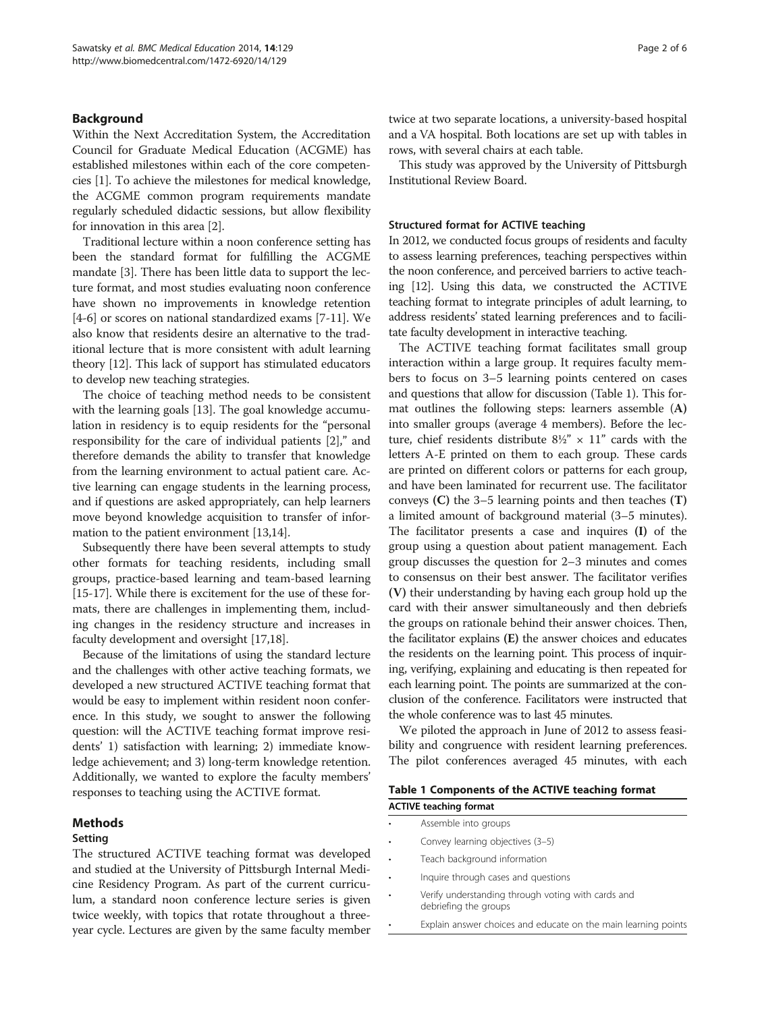# Background

Within the Next Accreditation System, the Accreditation Council for Graduate Medical Education (ACGME) has established milestones within each of the core competencies [\[1](#page-5-0)]. To achieve the milestones for medical knowledge, the ACGME common program requirements mandate regularly scheduled didactic sessions, but allow flexibility for innovation in this area [[2\]](#page-5-0).

Traditional lecture within a noon conference setting has been the standard format for fulfilling the ACGME mandate [\[3](#page-5-0)]. There has been little data to support the lecture format, and most studies evaluating noon conference have shown no improvements in knowledge retention [[4-6\]](#page-5-0) or scores on national standardized exams [\[7](#page-5-0)-[11](#page-5-0)]. We also know that residents desire an alternative to the traditional lecture that is more consistent with adult learning theory [\[12\]](#page-5-0). This lack of support has stimulated educators to develop new teaching strategies.

The choice of teaching method needs to be consistent with the learning goals [\[13\]](#page-5-0). The goal knowledge accumulation in residency is to equip residents for the "personal responsibility for the care of individual patients [\[2](#page-5-0)]," and therefore demands the ability to transfer that knowledge from the learning environment to actual patient care. Active learning can engage students in the learning process, and if questions are asked appropriately, can help learners move beyond knowledge acquisition to transfer of information to the patient environment [\[13,14](#page-5-0)].

Subsequently there have been several attempts to study other formats for teaching residents, including small groups, practice-based learning and team-based learning [[15](#page-5-0)-[17\]](#page-5-0). While there is excitement for the use of these formats, there are challenges in implementing them, including changes in the residency structure and increases in faculty development and oversight [[17,18\]](#page-5-0).

Because of the limitations of using the standard lecture and the challenges with other active teaching formats, we developed a new structured ACTIVE teaching format that would be easy to implement within resident noon conference. In this study, we sought to answer the following question: will the ACTIVE teaching format improve residents' 1) satisfaction with learning; 2) immediate knowledge achievement; and 3) long-term knowledge retention. Additionally, we wanted to explore the faculty members' responses to teaching using the ACTIVE format.

# Methods

#### Setting

The structured ACTIVE teaching format was developed and studied at the University of Pittsburgh Internal Medicine Residency Program. As part of the current curriculum, a standard noon conference lecture series is given twice weekly, with topics that rotate throughout a threeyear cycle. Lectures are given by the same faculty member twice at two separate locations, a university-based hospital and a VA hospital. Both locations are set up with tables in rows, with several chairs at each table.

This study was approved by the University of Pittsburgh Institutional Review Board.

#### Structured format for ACTIVE teaching

In 2012, we conducted focus groups of residents and faculty to assess learning preferences, teaching perspectives within the noon conference, and perceived barriers to active teaching [\[12\]](#page-5-0). Using this data, we constructed the ACTIVE teaching format to integrate principles of adult learning, to address residents' stated learning preferences and to facilitate faculty development in interactive teaching.

The ACTIVE teaching format facilitates small group interaction within a large group. It requires faculty members to focus on 3–5 learning points centered on cases and questions that allow for discussion (Table 1). This format outlines the following steps: learners assemble (A) into smaller groups (average 4 members). Before the lecture, chief residents distribute  $8\frac{1}{2}$   $\times$  11" cards with the letters A-E printed on them to each group. These cards are printed on different colors or patterns for each group, and have been laminated for recurrent use. The facilitator conveys  $(C)$  the 3–5 learning points and then teaches  $(T)$ a limited amount of background material (3–5 minutes). The facilitator presents a case and inquires (I) of the group using a question about patient management. Each group discusses the question for 2–3 minutes and comes to consensus on their best answer. The facilitator verifies (V) their understanding by having each group hold up the card with their answer simultaneously and then debriefs the groups on rationale behind their answer choices. Then, the facilitator explains (E) the answer choices and educates the residents on the learning point. This process of inquiring, verifying, explaining and educating is then repeated for each learning point. The points are summarized at the conclusion of the conference. Facilitators were instructed that the whole conference was to last 45 minutes.

We piloted the approach in June of 2012 to assess feasibility and congruence with resident learning preferences. The pilot conferences averaged 45 minutes, with each

| Table 1 Components of the ACTIVE teaching format |  |  |
|--------------------------------------------------|--|--|
| <b>ACTIVE teaching format</b>                    |  |  |

- Assemble into groups
- Convey learning objectives (3–5)
- Teach background information
- Inquire through cases and questions
- Verify understanding through voting with cards and debriefing the groups
- Explain answer choices and educate on the main learning points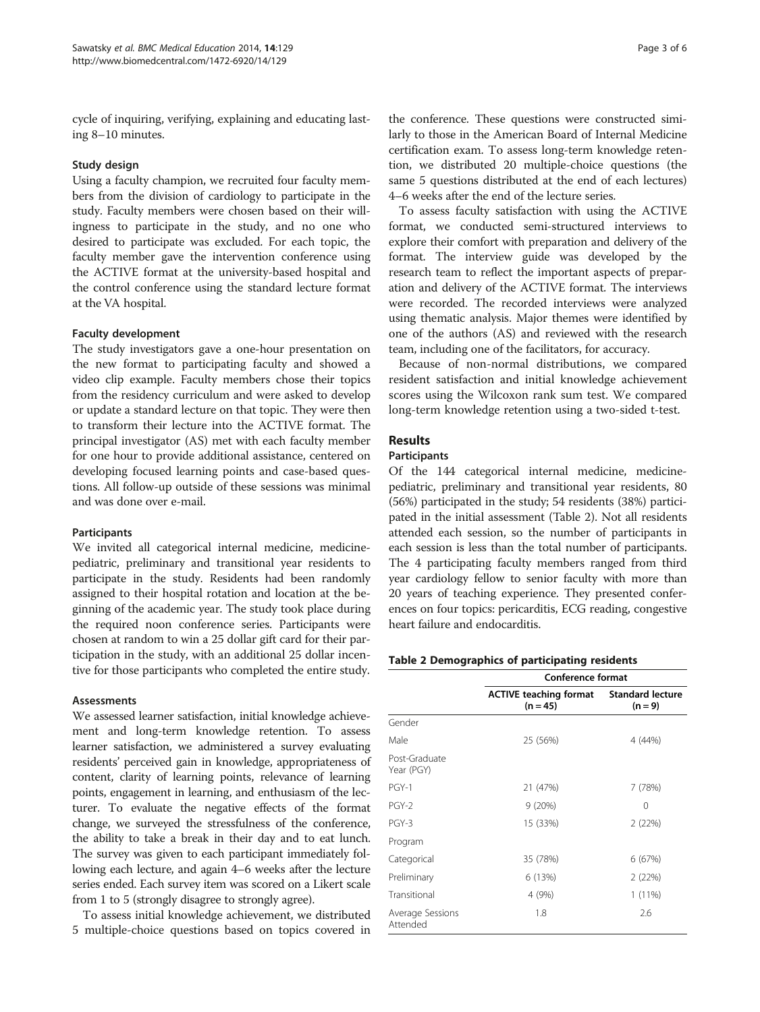cycle of inquiring, verifying, explaining and educating lasting 8–10 minutes.

# Study design

Using a faculty champion, we recruited four faculty members from the division of cardiology to participate in the study. Faculty members were chosen based on their willingness to participate in the study, and no one who desired to participate was excluded. For each topic, the faculty member gave the intervention conference using the ACTIVE format at the university-based hospital and the control conference using the standard lecture format at the VA hospital.

#### Faculty development

The study investigators gave a one-hour presentation on the new format to participating faculty and showed a video clip example. Faculty members chose their topics from the residency curriculum and were asked to develop or update a standard lecture on that topic. They were then to transform their lecture into the ACTIVE format. The principal investigator (AS) met with each faculty member for one hour to provide additional assistance, centered on developing focused learning points and case-based questions. All follow-up outside of these sessions was minimal and was done over e-mail.

#### Participants

We invited all categorical internal medicine, medicinepediatric, preliminary and transitional year residents to participate in the study. Residents had been randomly assigned to their hospital rotation and location at the beginning of the academic year. The study took place during the required noon conference series. Participants were chosen at random to win a 25 dollar gift card for their participation in the study, with an additional 25 dollar incentive for those participants who completed the entire study.

# Assessments

We assessed learner satisfaction, initial knowledge achievement and long-term knowledge retention. To assess learner satisfaction, we administered a survey evaluating residents' perceived gain in knowledge, appropriateness of content, clarity of learning points, relevance of learning points, engagement in learning, and enthusiasm of the lecturer. To evaluate the negative effects of the format change, we surveyed the stressfulness of the conference, the ability to take a break in their day and to eat lunch. The survey was given to each participant immediately following each lecture, and again 4–6 weeks after the lecture series ended. Each survey item was scored on a Likert scale from 1 to 5 (strongly disagree to strongly agree).

To assess initial knowledge achievement, we distributed 5 multiple-choice questions based on topics covered in

the conference. These questions were constructed similarly to those in the American Board of Internal Medicine certification exam. To assess long-term knowledge retention, we distributed 20 multiple-choice questions (the same 5 questions distributed at the end of each lectures) 4–6 weeks after the end of the lecture series.

To assess faculty satisfaction with using the ACTIVE format, we conducted semi-structured interviews to explore their comfort with preparation and delivery of the format. The interview guide was developed by the research team to reflect the important aspects of preparation and delivery of the ACTIVE format. The interviews were recorded. The recorded interviews were analyzed using thematic analysis. Major themes were identified by one of the authors (AS) and reviewed with the research team, including one of the facilitators, for accuracy.

Because of non-normal distributions, we compared resident satisfaction and initial knowledge achievement scores using the Wilcoxon rank sum test. We compared long-term knowledge retention using a two-sided t-test.

# Results

#### **Participants**

Of the 144 categorical internal medicine, medicinepediatric, preliminary and transitional year residents, 80 (56%) participated in the study; 54 residents (38%) participated in the initial assessment (Table 2). Not all residents attended each session, so the number of participants in each session is less than the total number of participants. The 4 participating faculty members ranged from third year cardiology fellow to senior faculty with more than 20 years of teaching experience. They presented conferences on four topics: pericarditis, ECG reading, congestive heart failure and endocarditis.

#### Table 2 Demographics of participating residents

| <b>Conference format</b>                    |                                      |  |  |  |
|---------------------------------------------|--------------------------------------|--|--|--|
| <b>ACTIVE teaching format</b><br>$(n = 45)$ | <b>Standard lecture</b><br>$(n = 9)$ |  |  |  |
|                                             |                                      |  |  |  |
| 25 (56%)                                    | 4 (44%)                              |  |  |  |
|                                             |                                      |  |  |  |
| 21 (47%)                                    | 7 (78%)                              |  |  |  |
| 9(20%)                                      | 0                                    |  |  |  |
| 15 (33%)                                    | 2(22%)                               |  |  |  |
|                                             |                                      |  |  |  |
| 35 (78%)                                    | 6 (67%)                              |  |  |  |
| 6 (13%)                                     | 2(22%)                               |  |  |  |
| 4 (9%)                                      | $1(11\%)$                            |  |  |  |
| 1.8                                         | 2.6                                  |  |  |  |
|                                             |                                      |  |  |  |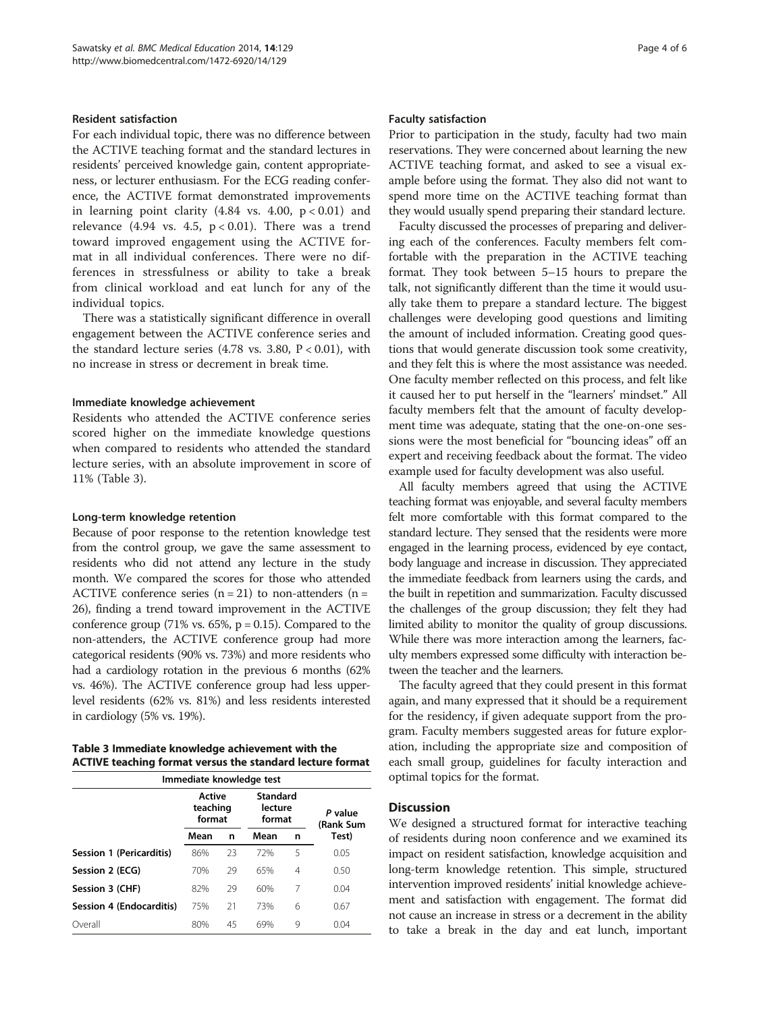## Resident satisfaction

For each individual topic, there was no difference between the ACTIVE teaching format and the standard lectures in residents' perceived knowledge gain, content appropriateness, or lecturer enthusiasm. For the ECG reading conference, the ACTIVE format demonstrated improvements in learning point clarity  $(4.84 \text{ vs. } 4.00, \text{ p} < 0.01)$  and relevance (4.94 vs. 4.5,  $p < 0.01$ ). There was a trend toward improved engagement using the ACTIVE format in all individual conferences. There were no differences in stressfulness or ability to take a break from clinical workload and eat lunch for any of the individual topics.

There was a statistically significant difference in overall engagement between the ACTIVE conference series and the standard lecture series (4.78 vs. 3.80,  $P < 0.01$ ), with no increase in stress or decrement in break time.

# Immediate knowledge achievement

Residents who attended the ACTIVE conference series scored higher on the immediate knowledge questions when compared to residents who attended the standard lecture series, with an absolute improvement in score of 11% (Table 3).

#### Long-term knowledge retention

Because of poor response to the retention knowledge test from the control group, we gave the same assessment to residents who did not attend any lecture in the study month. We compared the scores for those who attended ACTIVE conference series  $(n = 21)$  to non-attenders  $(n = 11)$ 26), finding a trend toward improvement in the ACTIVE conference group (71% vs.  $65\%$ , p = 0.15). Compared to the non-attenders, the ACTIVE conference group had more categorical residents (90% vs. 73%) and more residents who had a cardiology rotation in the previous 6 months (62% vs. 46%). The ACTIVE conference group had less upperlevel residents (62% vs. 81%) and less residents interested in cardiology (5% vs. 19%).

# Table 3 Immediate knowledge achievement with the ACTIVE teaching format versus the standard lecture format

| Immediate knowledge test |                              |    |                               |   |                      |  |  |  |
|--------------------------|------------------------------|----|-------------------------------|---|----------------------|--|--|--|
|                          | Active<br>teaching<br>format |    | Standard<br>lecture<br>format |   | P value<br>(Rank Sum |  |  |  |
|                          | Mean                         | n  | Mean                          | n | Test)                |  |  |  |
| Session 1 (Pericarditis) | 86%                          | 23 | 72%                           | 5 | 0.05                 |  |  |  |
| Session 2 (ECG)          | 70%                          | 29 | 65%                           | 4 | 0.50                 |  |  |  |
| Session 3 (CHF)          | 82%                          | 29 | 60%                           | 7 | 0.04                 |  |  |  |
| Session 4 (Endocarditis) | 75%                          | 21 | 73%                           | 6 | 0.67                 |  |  |  |
| Overall                  | 80%                          | 45 | 69%                           | 9 | 0.04                 |  |  |  |

#### Faculty satisfaction

Prior to participation in the study, faculty had two main reservations. They were concerned about learning the new ACTIVE teaching format, and asked to see a visual example before using the format. They also did not want to spend more time on the ACTIVE teaching format than they would usually spend preparing their standard lecture.

Faculty discussed the processes of preparing and delivering each of the conferences. Faculty members felt comfortable with the preparation in the ACTIVE teaching format. They took between 5–15 hours to prepare the talk, not significantly different than the time it would usually take them to prepare a standard lecture. The biggest challenges were developing good questions and limiting the amount of included information. Creating good questions that would generate discussion took some creativity, and they felt this is where the most assistance was needed. One faculty member reflected on this process, and felt like it caused her to put herself in the "learners' mindset." All faculty members felt that the amount of faculty development time was adequate, stating that the one-on-one sessions were the most beneficial for "bouncing ideas" off an expert and receiving feedback about the format. The video example used for faculty development was also useful.

All faculty members agreed that using the ACTIVE teaching format was enjoyable, and several faculty members felt more comfortable with this format compared to the standard lecture. They sensed that the residents were more engaged in the learning process, evidenced by eye contact, body language and increase in discussion. They appreciated the immediate feedback from learners using the cards, and the built in repetition and summarization. Faculty discussed the challenges of the group discussion; they felt they had limited ability to monitor the quality of group discussions. While there was more interaction among the learners, faculty members expressed some difficulty with interaction between the teacher and the learners.

The faculty agreed that they could present in this format again, and many expressed that it should be a requirement for the residency, if given adequate support from the program. Faculty members suggested areas for future exploration, including the appropriate size and composition of each small group, guidelines for faculty interaction and optimal topics for the format.

# **Discussion**

We designed a structured format for interactive teaching of residents during noon conference and we examined its impact on resident satisfaction, knowledge acquisition and long-term knowledge retention. This simple, structured intervention improved residents' initial knowledge achievement and satisfaction with engagement. The format did not cause an increase in stress or a decrement in the ability to take a break in the day and eat lunch, important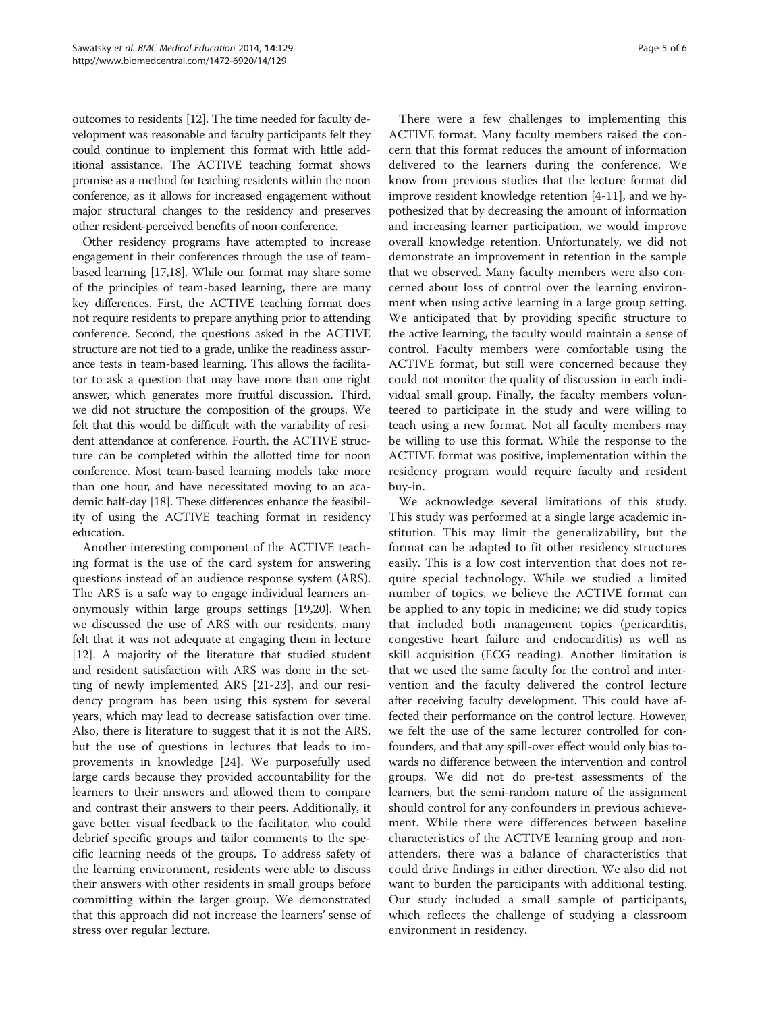outcomes to residents [[12](#page-5-0)]. The time needed for faculty development was reasonable and faculty participants felt they could continue to implement this format with little additional assistance. The ACTIVE teaching format shows promise as a method for teaching residents within the noon conference, as it allows for increased engagement without major structural changes to the residency and preserves other resident-perceived benefits of noon conference.

Other residency programs have attempted to increase engagement in their conferences through the use of teambased learning [\[17,18](#page-5-0)]. While our format may share some of the principles of team-based learning, there are many key differences. First, the ACTIVE teaching format does not require residents to prepare anything prior to attending conference. Second, the questions asked in the ACTIVE structure are not tied to a grade, unlike the readiness assurance tests in team-based learning. This allows the facilitator to ask a question that may have more than one right answer, which generates more fruitful discussion. Third, we did not structure the composition of the groups. We felt that this would be difficult with the variability of resident attendance at conference. Fourth, the ACTIVE structure can be completed within the allotted time for noon conference. Most team-based learning models take more than one hour, and have necessitated moving to an academic half-day [[18](#page-5-0)]. These differences enhance the feasibility of using the ACTIVE teaching format in residency education.

Another interesting component of the ACTIVE teaching format is the use of the card system for answering questions instead of an audience response system (ARS). The ARS is a safe way to engage individual learners anonymously within large groups settings [\[19,20](#page-5-0)]. When we discussed the use of ARS with our residents, many felt that it was not adequate at engaging them in lecture [[12\]](#page-5-0). A majority of the literature that studied student and resident satisfaction with ARS was done in the setting of newly implemented ARS [\[21](#page-5-0)-[23\]](#page-5-0), and our residency program has been using this system for several years, which may lead to decrease satisfaction over time. Also, there is literature to suggest that it is not the ARS, but the use of questions in lectures that leads to improvements in knowledge [[24](#page-5-0)]. We purposefully used large cards because they provided accountability for the learners to their answers and allowed them to compare and contrast their answers to their peers. Additionally, it gave better visual feedback to the facilitator, who could debrief specific groups and tailor comments to the specific learning needs of the groups. To address safety of the learning environment, residents were able to discuss their answers with other residents in small groups before committing within the larger group. We demonstrated that this approach did not increase the learners' sense of stress over regular lecture.

There were a few challenges to implementing this ACTIVE format. Many faculty members raised the concern that this format reduces the amount of information delivered to the learners during the conference. We know from previous studies that the lecture format did improve resident knowledge retention [[4-11](#page-5-0)], and we hypothesized that by decreasing the amount of information and increasing learner participation, we would improve overall knowledge retention. Unfortunately, we did not demonstrate an improvement in retention in the sample that we observed. Many faculty members were also concerned about loss of control over the learning environment when using active learning in a large group setting. We anticipated that by providing specific structure to the active learning, the faculty would maintain a sense of control. Faculty members were comfortable using the ACTIVE format, but still were concerned because they could not monitor the quality of discussion in each individual small group. Finally, the faculty members volunteered to participate in the study and were willing to teach using a new format. Not all faculty members may be willing to use this format. While the response to the ACTIVE format was positive, implementation within the residency program would require faculty and resident buy-in.

We acknowledge several limitations of this study. This study was performed at a single large academic institution. This may limit the generalizability, but the format can be adapted to fit other residency structures easily. This is a low cost intervention that does not require special technology. While we studied a limited number of topics, we believe the ACTIVE format can be applied to any topic in medicine; we did study topics that included both management topics (pericarditis, congestive heart failure and endocarditis) as well as skill acquisition (ECG reading). Another limitation is that we used the same faculty for the control and intervention and the faculty delivered the control lecture after receiving faculty development. This could have affected their performance on the control lecture. However, we felt the use of the same lecturer controlled for confounders, and that any spill-over effect would only bias towards no difference between the intervention and control groups. We did not do pre-test assessments of the learners, but the semi-random nature of the assignment should control for any confounders in previous achievement. While there were differences between baseline characteristics of the ACTIVE learning group and nonattenders, there was a balance of characteristics that could drive findings in either direction. We also did not want to burden the participants with additional testing. Our study included a small sample of participants, which reflects the challenge of studying a classroom environment in residency.